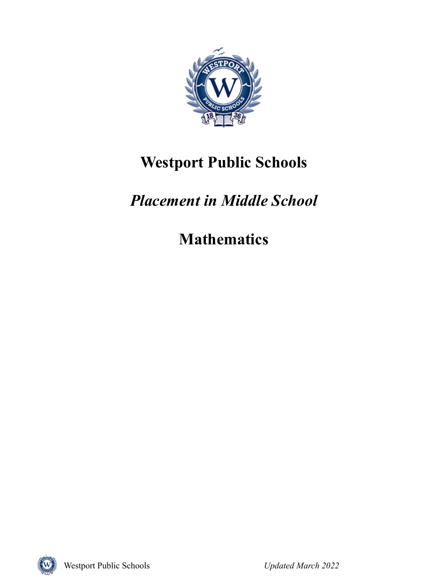

## **Westport Public Schools**

# *Placement in Middle School*

**Mathematics**